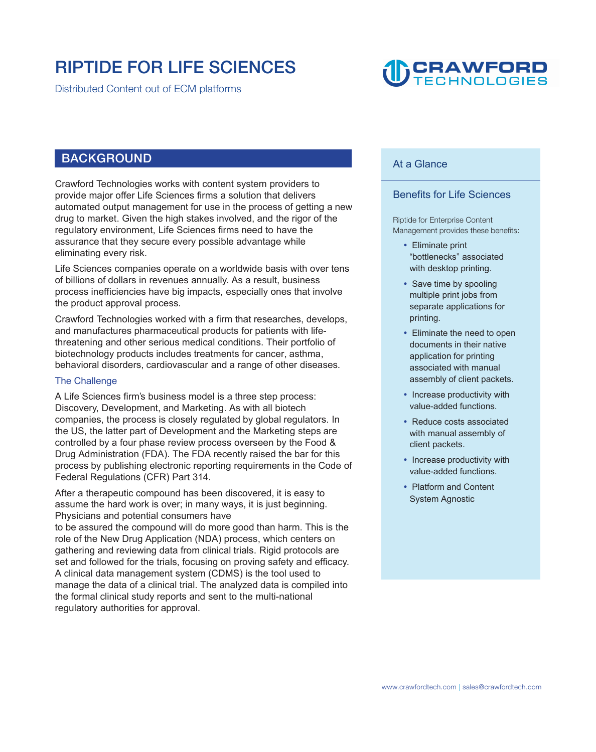### **RIPTIDE FOR LIFE SCIENCES**

**Distributed Content out of ECM platforms** 

## **CRAWFORD**

#### **BACKGROUND**

Crawford Technologies works with content system providers to provide major offer Life Sciences firms a solution that delivers automated output management for use in the process of getting a new drug to market. Given the high stakes involved, and the rigor of the regulatory environment, Life Sciences firms need to have the assurance that they secure every possible advantage while eliminating every risk.

Life Sciences companies operate on a worldwide basis with over tens of billions of dollars in revenues annually. As a result, business process inefficiencies have big impacts, especially ones that involve the product approval process.

Crawford Technologies worked with a firm that researches, develops, and manufactures pharmaceutical products for patients with lifethreatening and other serious medical conditions. Their portfolio of biotechnology products includes treatments for cancer, asthma, behavioral disorders, cardiovascular and a range of other diseases.

#### The Challenge

A Life Sciences firm's business model is a three step process: Discovery, Development, and Marketing. As with all biotech companies, the process is closely regulated by global regulators. In the US, the latter part of Development and the Marketing steps are controlled by a four phase review process overseen by the Food & Drug Administration (FDA). The FDA recently raised the bar for this process by publishing electronic reporting requirements in the Code of Federal Regulations (CFR) Part 314.

After a therapeutic compound has been discovered, it is easy to assume the hard work is over; in many ways, it is just beginning. Physicians and potential consumers have

to be assured the compound will do more good than harm. This is the role of the New Drug Application (NDA) process, which centers on gathering and reviewing data from clinical trials. Rigid protocols are set and followed for the trials, focusing on proving safety and efficacy. A clinical data management system (CDMS) is the tool used to manage the data of a clinical trial. The analyzed data is compiled into the formal clinical study reports and sent to the multi-national regulatory authorities for approval.

#### At a Glance

#### Benefits for Life Sciences

**Riptide for Enterprise Content Management provides these benefits:** 

- Eliminate print "bottlenecks" associated with desktop printing.
- Save time by spooling multiple print jobs from separate applications for printing.
- Eliminate the need to open documents in their native application for printing associated with manual assembly of client packets.
- Increase productivity with value-added functions.
- Reduce costs associated with manual assembly of client packets.
- Increase productivity with value-added functions.
- Platform and Content System Agnostic